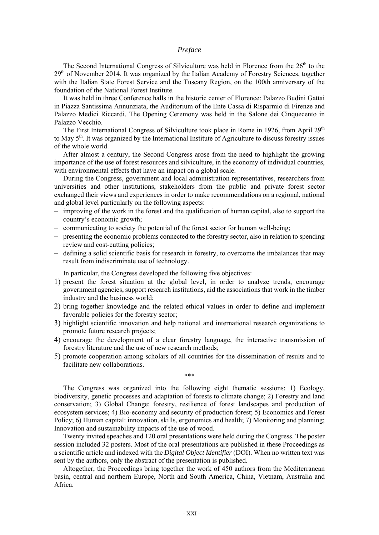## *Preface*

The Second International Congress of Silviculture was held in Florence from the  $26<sup>th</sup>$  to the 29<sup>th</sup> of November 2014. It was organized by the Italian Academy of Forestry Sciences, together with the Italian State Forest Service and the Tuscany Region, on the 100th anniversary of the foundation of the National Forest Institute.

It was held in three Conference halls in the historic center of Florence: Palazzo Budini Gattai in Piazza Santissima Annunziata, the Auditorium of the Ente Cassa di Risparmio di Firenze and Palazzo Medici Riccardi. The Opening Ceremony was held in the Salone dei Cinquecento in Palazzo Vecchio.

The First International Congress of Silviculture took place in Rome in 1926, from April 29<sup>th</sup> to May 5th. It was organized by the International Institute of Agriculture to discuss forestry issues of the whole world.

After almost a century, the Second Congress arose from the need to highlight the growing importance of the use of forest resources and silviculture, in the economy of individual countries, with environmental effects that have an impact on a global scale.

During the Congress, government and local administration representatives, researchers from universities and other institutions, stakeholders from the public and private forest sector exchanged their views and experiences in order to make recommendations on a regional, national and global level particularly on the following aspects:

- improving of the work in the forest and the qualification of human capital, also to support the country's economic growth;
- communicating to society the potential of the forest sector for human well-being;
- presenting the economic problems connected to the forestry sector, also in relation to spending review and cost-cutting policies;
- defining a solid scientific basis for research in forestry, to overcome the imbalances that may result from indiscriminate use of technology.

In particular, the Congress developed the following five objectives:

- 1) present the forest situation at the global level, in order to analyze trends, encourage government agencies, support research institutions, aid the associations that work in the timber industry and the business world;
- 2) bring together knowledge and the related ethical values in order to define and implement favorable policies for the forestry sector;
- 3) highlight scientific innovation and help national and international research organizations to promote future research projects;
- 4) encourage the development of a clear forestry language, the interactive transmission of forestry literature and the use of new research methods;
- 5) promote cooperation among scholars of all countries for the dissemination of results and to facilitate new collaborations.

\*\*\*

The Congress was organized into the following eight thematic sessions: 1) Ecology, biodiversity, genetic processes and adaptation of forests to climate change; 2) Forestry and land conservation; 3) Global Change: forestry, resilience of forest landscapes and production of ecosystem services; 4) Bio-economy and security of production forest; 5) Economics and Forest Policy; 6) Human capital: innovation, skills, ergonomics and health; 7) Monitoring and planning; Innovation and sustainability impacts of the use of wood.

Twenty invited speaches and 120 oral presentations were held during the Congress. The poster session included 32 posters. Most of the oral presentations are published in these Proceedings as a scientific article and indexed with the *Digital Object Identifier* (DOI). When no written text was sent by the authors, only the abstract of the presentation is published.

Altogether, the Proceedings bring together the work of 450 authors from the Mediterranean basin, central and northern Europe, North and South America, China, Vietnam, Australia and Africa.